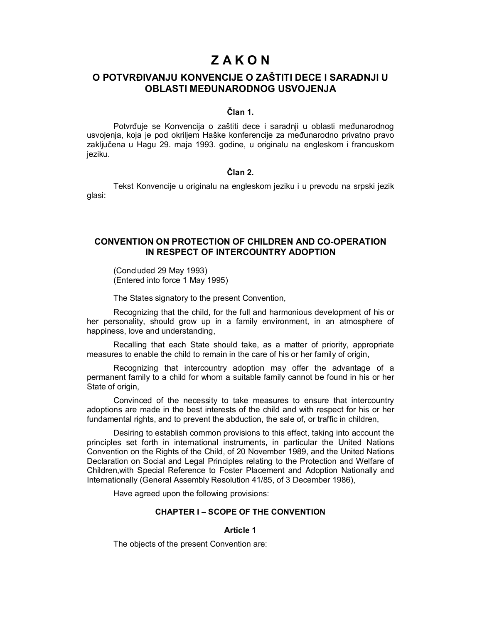# **Z A K O N**

## **O POTVRĐIVANJU KONVENCIJE O ZAŠTITI DECE I SARADNJI U OBLASTI MEĐUNARODNOG USVOJENJA**

### **Član 1.**

Potvrđuje se Konvencija o zaštiti dece i saradnji u oblasti međunarodnog usvojenja, koja je pod okriljem Haške konferencije za međunarodno privatno pravo zaključena u Hagu 29. maja 1993. godine, u originalu na engleskom i francuskom jeziku.

### **Član 2.**

Tekst Konvencije u originalu na engleskom jeziku i u prevodu na srpski jezik glasi:

### **CONVENTION ON PROTECTION OF CHILDREN AND CO-OPERATION IN RESPECT OF INTERCOUNTRY ADOPTION**

(Concluded 29 May 1993) (Entered into force 1 May 1995)

The States signatory to the present Convention,

Recognizing that the child, for the full and harmonious development of his or her personality, should grow up in a family environment, in an atmosphere of happiness, love and understanding,

Recalling that each State should take, as a matter of priority, appropriate measures to enable the child to remain in the care of his or her family of origin,

Recognizing that intercountry adoption may offer the advantage of a permanent family to a child for whom a suitable family cannot be found in his or her State of origin,

Convinced of the necessity to take measures to ensure that intercountry adoptions are made in the best interests of the child and with respect for his or her fundamental rights, and to prevent the abduction, the sale of, or traffic in children,

Desiring to establish common provisions to this effect, taking into account the principles set forth in international instruments, in particular the United Nations Convention on the Rights of the Child, of 20 November 1989, and the United Nations Declaration on Social and Legal Principles relating to the Protection and Welfare of Children,with Special Reference to Foster Placement and Adoption Nationally and Internationally (General Assembly Resolution 41/85, of 3 December 1986),

Have agreed upon the following provisions:

### **CHAPTER I – SCOPE OF THE CONVENTION**

#### **Article 1**

The objects of the present Convention are: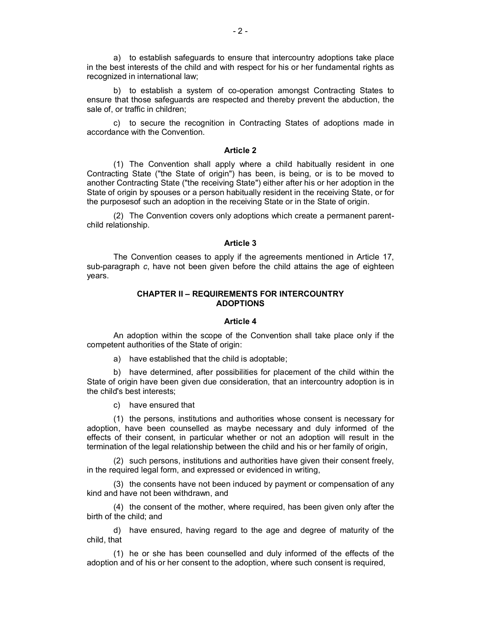a) to establish safeguards to ensure that intercountry adoptions take place in the best interests of the child and with respect for his or her fundamental rights as recognized in international law;

b) to establish a system of co-operation amongst Contracting States to ensure that those safeguards are respected and thereby prevent the abduction, the sale of, or traffic in children;

c) to secure the recognition in Contracting States of adoptions made in accordance with the Convention.

#### **Article 2**

(1) The Convention shall apply where a child habitually resident in one Contracting State ("the State of origin") has been, is being, or is to be moved to another Contracting State ("the receiving State") either after his or her adoption in the State of origin by spouses or a person habitually resident in the receiving State, or for the purposesof such an adoption in the receiving State or in the State of origin.

(2) The Convention covers only adoptions which create a permanent parentchild relationship.

### **Article 3**

The Convention ceases to apply if the agreements mentioned in Article 17, sub-paragraph *c*, have not been given before the child attains the age of eighteen years.

### **CHAPTER II – REQUIREMENTS FOR INTERCOUNTRY ADOPTIONS**

### **Article 4**

An adoption within the scope of the Convention shall take place only if the competent authorities of the State of origin:

a) have established that the child is adoptable;

b) have determined, after possibilities for placement of the child within the State of origin have been given due consideration, that an intercountry adoption is in the child's best interests;

c) have ensured that

(1) the persons, institutions and authorities whose consent is necessary for adoption, have been counselled as maybe necessary and duly informed of the effects of their consent, in particular whether or not an adoption will result in the termination of the legal relationship between the child and his or her family of origin,

(2) such persons, institutions and authorities have given their consent freely, in the required legal form, and expressed or evidenced in writing,

(3) the consents have not been induced by payment or compensation of any kind and have not been withdrawn, and

(4) the consent of the mother, where required, has been given only after the birth of the child; and

d) have ensured, having regard to the age and degree of maturity of the child, that

(1) he or she has been counselled and duly informed of the effects of the adoption and of his or her consent to the adoption, where such consent is required,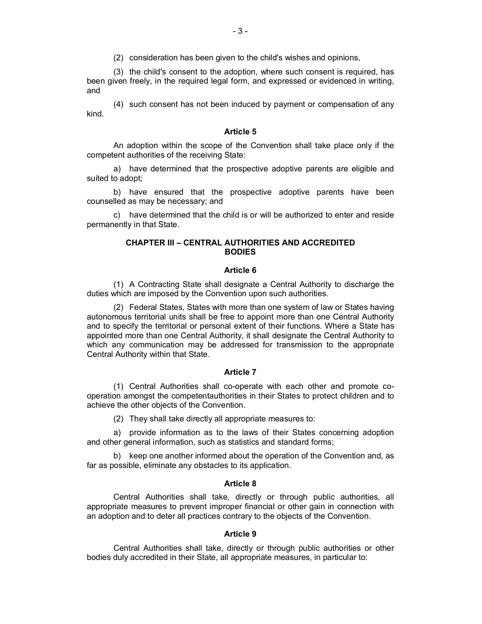(2) consideration has been given to the child's wishes and opinions,

(3) the child's consent to the adoption, where such consent is required, has been given freely, in the required legal form, and expressed or evidenced in writing, and

(4) such consent has not been induced by payment or compensation of any kind.

#### **Article 5**

An adoption within the scope of the Convention shall take place only if the competent authorities of the receiving State:

a) have determined that the prospective adoptive parents are eligible and suited to adopt;

b) have ensured that the prospective adoptive parents have been counselled as may be necessary; and

c) have determined that the child is or will be authorized to enter and reside permanently in that State.

### **CHAPTER III – CENTRAL AUTHORITIES AND ACCREDITED BODIES**

### **Article 6**

(1) A Contracting State shall designate a Central Authority to discharge the duties which are imposed by the Convention upon such authorities.

(2) Federal States, States with more than one system of law or States having autonomous territorial units shall be free to appoint more than one Central Authority and to specify the territorial or personal extent of their functions. Where a State has appointed more than one Central Authority, it shall designate the Central Authority to which any communication may be addressed for transmission to the appropriate Central Authority within that State.

### **Article 7**

(1) Central Authorities shall co-operate with each other and promote cooperation amongst the competentauthorities in their States to protect children and to achieve the other objects of the Convention.

(2) They shall take directly all appropriate measures to:

a) provide information as to the laws of their States concerning adoption and other general information, such as statistics and standard forms;

b) keep one another informed about the operation of the Convention and, as far as possible, eliminate any obstacles to its application.

#### **Article 8**

Central Authorities shall take, directly or through public authorities, all appropriate measures to prevent improper financial or other gain in connection with an adoption and to deter all practices contrary to the objects of the Convention.

#### **Article 9**

Central Authorities shall take, directly or through public authorities or other bodies duly accredited in their State, all appropriate measures, in particular to: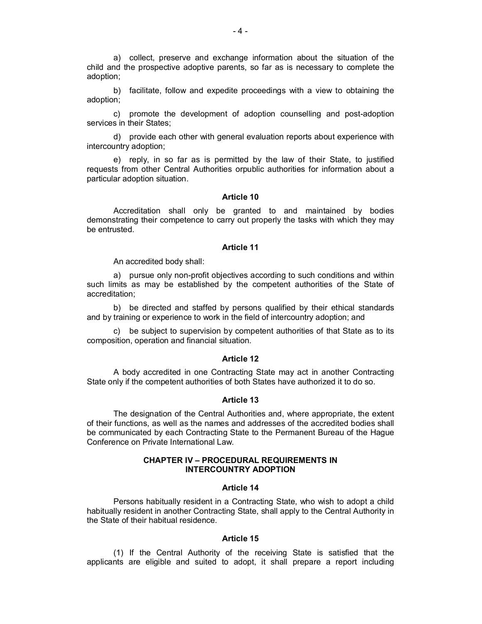a) collect, preserve and exchange information about the situation of the child and the prospective adoptive parents, so far as is necessary to complete the adoption;

b) facilitate, follow and expedite proceedings with a view to obtaining the adoption;

c) promote the development of adoption counselling and post-adoption services in their States;

d) provide each other with general evaluation reports about experience with intercountry adoption;

e) reply, in so far as is permitted by the law of their State, to justified requests from other Central Authorities orpublic authorities for information about a particular adoption situation.

#### **Article 10**

Accreditation shall only be granted to and maintained by bodies demonstrating their competence to carry out properly the tasks with which they may be entrusted.

#### **Article 11**

An accredited body shall:

a) pursue only non-profit objectives according to such conditions and within such limits as may be established by the competent authorities of the State of accreditation;

b) be directed and staffed by persons qualified by their ethical standards and by training or experience to work in the field of intercountry adoption; and

c) be subject to supervision by competent authorities of that State as to its composition, operation and financial situation.

#### **Article 12**

A body accredited in one Contracting State may act in another Contracting State only if the competent authorities of both States have authorized it to do so.

#### **Article 13**

The designation of the Central Authorities and, where appropriate, the extent of their functions, as well as the names and addresses of the accredited bodies shall be communicated by each Contracting State to the Permanent Bureau of the Hague Conference on Private International Law.

### **CHAPTER IV – PROCEDURAL REQUIREMENTS IN INTERCOUNTRY ADOPTION**

#### **Article 14**

Persons habitually resident in a Contracting State, who wish to adopt a child habitually resident in another Contracting State, shall apply to the Central Authority in the State of their habitual residence.

### **Article 15**

(1) If the Central Authority of the receiving State is satisfied that the applicants are eligible and suited to adopt, it shall prepare a report including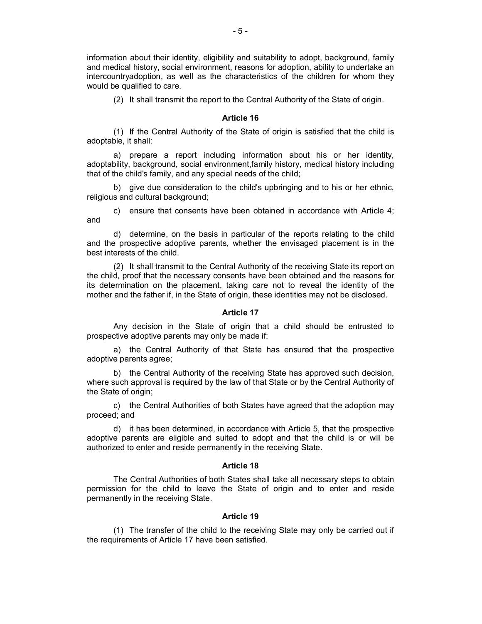information about their identity, eligibility and suitability to adopt, background, family and medical history, social environment, reasons for adoption, ability to undertake an intercountryadoption, as well as the characteristics of the children for whom they would be qualified to care.

(2) It shall transmit the report to the Central Authority of the State of origin.

#### **Article 16**

(1) If the Central Authority of the State of origin is satisfied that the child is adoptable, it shall:

a) prepare a report including information about his or her identity, adoptability, background, social environment,family history, medical history including that of the child's family, and any special needs of the child;

b) give due consideration to the child's upbringing and to his or her ethnic, religious and cultural background;

c) ensure that consents have been obtained in accordance with Article 4; and

d) determine, on the basis in particular of the reports relating to the child and the prospective adoptive parents, whether the envisaged placement is in the best interests of the child.

(2) It shall transmit to the Central Authority of the receiving State its report on the child, proof that the necessary consents have been obtained and the reasons for its determination on the placement, taking care not to reveal the identity of the mother and the father if, in the State of origin, these identities may not be disclosed.

#### **Article 17**

Any decision in the State of origin that a child should be entrusted to prospective adoptive parents may only be made if:

a) the Central Authority of that State has ensured that the prospective adoptive parents agree;

b) the Central Authority of the receiving State has approved such decision, where such approval is required by the law of that State or by the Central Authority of the State of origin;

c) the Central Authorities of both States have agreed that the adoption may proceed; and

d) it has been determined, in accordance with Article 5, that the prospective adoptive parents are eligible and suited to adopt and that the child is or will be authorized to enter and reside permanently in the receiving State.

#### **Article 18**

The Central Authorities of both States shall take all necessary steps to obtain permission for the child to leave the State of origin and to enter and reside permanently in the receiving State.

### **Article 19**

(1) The transfer of the child to the receiving State may only be carried out if the requirements of Article 17 have been satisfied.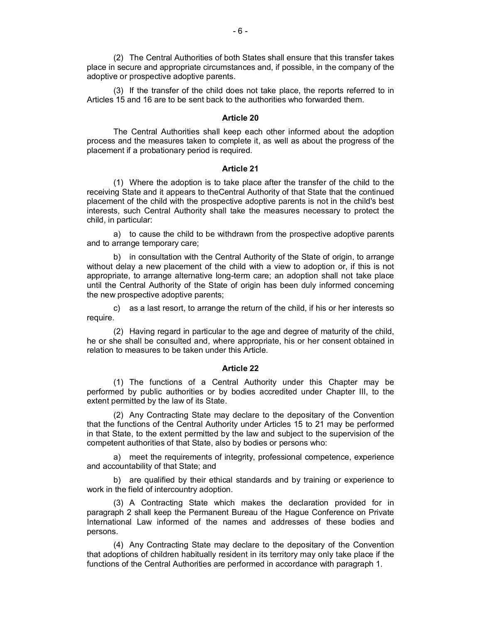(2) The Central Authorities of both States shall ensure that this transfer takes place in secure and appropriate circumstances and, if possible, in the company of the adoptive or prospective adoptive parents.

(3) If the transfer of the child does not take place, the reports referred to in Articles 15 and 16 are to be sent back to the authorities who forwarded them.

#### **Article 20**

The Central Authorities shall keep each other informed about the adoption process and the measures taken to complete it, as well as about the progress of the placement if a probationary period is required.

#### **Article 21**

(1) Where the adoption is to take place after the transfer of the child to the receiving State and it appears to theCentral Authority of that State that the continued placement of the child with the prospective adoptive parents is not in the child's best interests, such Central Authority shall take the measures necessary to protect the child, in particular:

a) to cause the child to be withdrawn from the prospective adoptive parents and to arrange temporary care;

b) in consultation with the Central Authority of the State of origin, to arrange without delay a new placement of the child with a view to adoption or, if this is not appropriate, to arrange alternative long-term care; an adoption shall not take place until the Central Authority of the State of origin has been duly informed concerning the new prospective adoptive parents;

c) as a last resort, to arrange the return of the child, if his or her interests so require.

(2) Having regard in particular to the age and degree of maturity of the child, he or she shall be consulted and, where appropriate, his or her consent obtained in relation to measures to be taken under this Article.

#### **Article 22**

(1) The functions of a Central Authority under this Chapter may be performed by public authorities or by bodies accredited under Chapter III, to the extent permitted by the law of its State.

(2) Any Contracting State may declare to the depositary of the Convention that the functions of the Central Authority under Articles 15 to 21 may be performed in that State, to the extent permitted by the law and subject to the supervision of the competent authorities of that State, also by bodies or persons who:

a) meet the requirements of integrity, professional competence, experience and accountability of that State; and

b) are qualified by their ethical standards and by training or experience to work in the field of intercountry adoption.

(3) A Contracting State which makes the declaration provided for in paragraph 2 shall keep the Permanent Bureau of the Hague Conference on Private International Law informed of the names and addresses of these bodies and persons.

(4) Any Contracting State may declare to the depositary of the Convention that adoptions of children habitually resident in its territory may only take place if the functions of the Central Authorities are performed in accordance with paragraph 1.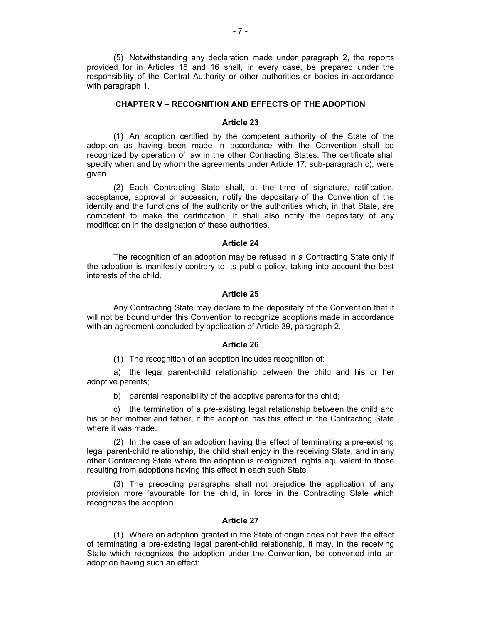(5) Notwithstanding any declaration made under paragraph 2, the reports provided for in Articles 15 and 16 shall, in every case, be prepared under the responsibility of the Central Authority or other authorities or bodies in accordance with paragraph 1.

### **CHAPTER V – RECOGNITION AND EFFECTS OF THE ADOPTION**

### **Article 23**

(1) An adoption certified by the competent authority of the State of the adoption as having been made in accordance with the Convention shall be recognized by operation of law in the other Contracting States. The certificate shall specify when and by whom the agreements under Article 17, sub-paragraph c), were given.

(2) Each Contracting State shall, at the time of signature, ratification, acceptance, approval or accession, notify the depositary of the Convention of the identity and the functions of the authority or the authorities which, in that State, are competent to make the certification. It shall also notify the depositary of any modification in the designation of these authorities.

#### **Article 24**

The recognition of an adoption may be refused in a Contracting State only if the adoption is manifestly contrary to its public policy, taking into account the best interests of the child.

#### **Article 25**

Any Contracting State may declare to the depositary of the Convention that it will not be bound under this Convention to recognize adoptions made in accordance with an agreement concluded by application of Article 39, paragraph 2.

#### **Article 26**

(1) The recognition of an adoption includes recognition of:

a) the legal parent-child relationship between the child and his or her adoptive parents;

b) parental responsibility of the adoptive parents for the child;

c) the termination of a pre-existing legal relationship between the child and his or her mother and father, if the adoption has this effect in the Contracting State where it was made.

(2) In the case of an adoption having the effect of terminating a pre-existing legal parent-child relationship, the child shall enjoy in the receiving State, and in any other Contracting State where the adoption is recognized, rights equivalent to those resulting from adoptions having this effect in each such State.

(3) The preceding paragraphs shall not prejudice the application of any provision more favourable for the child, in force in the Contracting State which recognizes the adoption.

### **Article 27**

(1) Where an adoption granted in the State of origin does not have the effect of terminating a pre-existing legal parent-child relationship, it may, in the receiving State which recognizes the adoption under the Convention, be converted into an adoption having such an effect: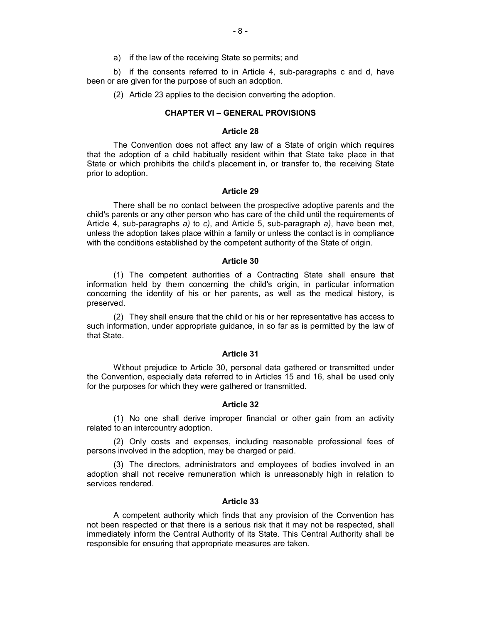a) if the law of the receiving State so permits; and

b) if the consents referred to in Article 4, sub-paragraphs c and d, have been or are given for the purpose of such an adoption.

(2) Article 23 applies to the decision converting the adoption.

### **CHAPTER VI – GENERAL PROVISIONS**

#### **Article 28**

The Convention does not affect any law of a State of origin which requires that the adoption of a child habitually resident within that State take place in that State or which prohibits the child's placement in, or transfer to, the receiving State prior to adoption.

#### **Article 29**

There shall be no contact between the prospective adoptive parents and the child's parents or any other person who has care of the child until the requirements of Article 4, sub-paragraphs *a)* to *c)*, and Article 5, sub-paragraph *a)*, have been met, unless the adoption takes place within a family or unless the contact is in compliance with the conditions established by the competent authority of the State of origin.

#### **Article 30**

(1) The competent authorities of a Contracting State shall ensure that information held by them concerning the child's origin, in particular information concerning the identity of his or her parents, as well as the medical history, is preserved.

(2) They shall ensure that the child or his or her representative has access to such information, under appropriate guidance, in so far as is permitted by the law of that State.

#### **Article 31**

Without prejudice to Article 30, personal data gathered or transmitted under the Convention, especially data referred to in Articles 15 and 16, shall be used only for the purposes for which they were gathered or transmitted.

#### **Article 32**

(1) No one shall derive improper financial or other gain from an activity related to an intercountry adoption.

(2) Only costs and expenses, including reasonable professional fees of persons involved in the adoption, may be charged or paid.

(3) The directors, administrators and employees of bodies involved in an adoption shall not receive remuneration which is unreasonably high in relation to services rendered.

#### **Article 33**

A competent authority which finds that any provision of the Convention has not been respected or that there is a serious risk that it may not be respected, shall immediately inform the Central Authority of its State. This Central Authority shall be responsible for ensuring that appropriate measures are taken.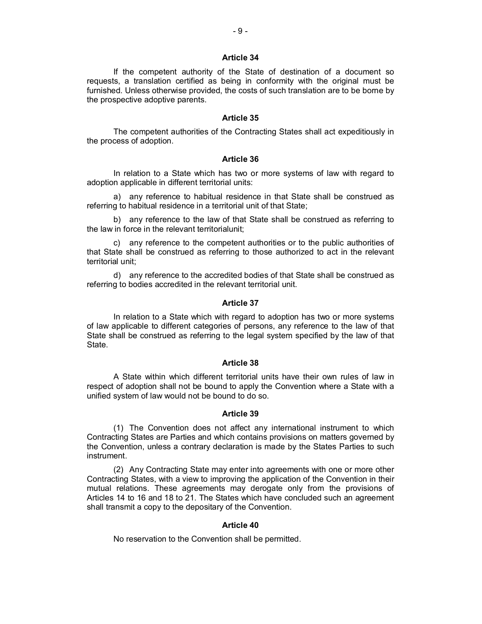#### **Article 34**

If the competent authority of the State of destination of a document so requests, a translation certified as being in conformity with the original must be furnished. Unless otherwise provided, the costs of such translation are to be borne by the prospective adoptive parents.

### **Article 35**

The competent authorities of the Contracting States shall act expeditiously in the process of adoption.

#### **Article 36**

In relation to a State which has two or more systems of law with regard to adoption applicable in different territorial units:

a) any reference to habitual residence in that State shall be construed as referring to habitual residence in a territorial unit of that State;

b) any reference to the law of that State shall be construed as referring to the law in force in the relevant territorialunit;

c) any reference to the competent authorities or to the public authorities of that State shall be construed as referring to those authorized to act in the relevant territorial unit;

d) any reference to the accredited bodies of that State shall be construed as referring to bodies accredited in the relevant territorial unit.

#### **Article 37**

In relation to a State which with regard to adoption has two or more systems of law applicable to different categories of persons, any reference to the law of that State shall be construed as referring to the legal system specified by the law of that State.

#### **Article 38**

A State within which different territorial units have their own rules of law in respect of adoption shall not be bound to apply the Convention where a State with a unified system of law would not be bound to do so.

#### **Article 39**

(1) The Convention does not affect any international instrument to which Contracting States are Parties and which contains provisions on matters governed by the Convention, unless a contrary declaration is made by the States Parties to such instrument.

(2) Any Contracting State may enter into agreements with one or more other Contracting States, with a view to improving the application of the Convention in their mutual relations. These agreements may derogate only from the provisions of Articles 14 to 16 and 18 to 21. The States which have concluded such an agreement shall transmit a copy to the depositary of the Convention.

#### **Article 40**

No reservation to the Convention shall be permitted.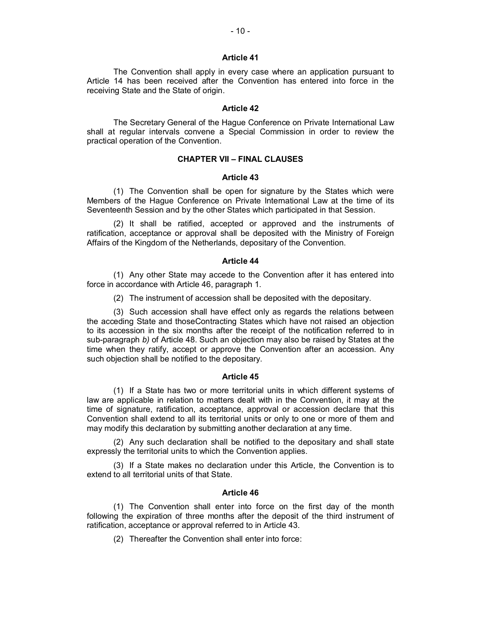#### **Article 41**

The Convention shall apply in every case where an application pursuant to Article 14 has been received after the Convention has entered into force in the receiving State and the State of origin.

#### **Article 42**

The Secretary General of the Hague Conference on Private International Law shall at regular intervals convene a Special Commission in order to review the practical operation of the Convention.

#### **CHAPTER VII – FINAL CLAUSES**

#### **Article 43**

(1) The Convention shall be open for signature by the States which were Members of the Hague Conference on Private International Law at the time of its Seventeenth Session and by the other States which participated in that Session.

(2) It shall be ratified, accepted or approved and the instruments of ratification, acceptance or approval shall be deposited with the Ministry of Foreign Affairs of the Kingdom of the Netherlands, depositary of the Convention.

#### **Article 44**

(1) Any other State may accede to the Convention after it has entered into force in accordance with Article 46, paragraph 1.

(2) The instrument of accession shall be deposited with the depositary.

(3) Such accession shall have effect only as regards the relations between the acceding State and thoseContracting States which have not raised an objection to its accession in the six months after the receipt of the notification referred to in sub-paragraph *b)* of Article 48. Such an objection may also be raised by States at the time when they ratify, accept or approve the Convention after an accession. Any such objection shall be notified to the depositary.

#### **Article 45**

(1) If a State has two or more territorial units in which different systems of law are applicable in relation to matters dealt with in the Convention, it may at the time of signature, ratification, acceptance, approval or accession declare that this Convention shall extend to all its territorial units or only to one or more of them and may modify this declaration by submitting another declaration at any time.

(2) Any such declaration shall be notified to the depositary and shall state expressly the territorial units to which the Convention applies.

(3) If a State makes no declaration under this Article, the Convention is to extend to all territorial units of that State.

#### **Article 46**

(1) The Convention shall enter into force on the first day of the month following the expiration of three months after the deposit of the third instrument of ratification, acceptance or approval referred to in Article 43.

(2) Thereafter the Convention shall enter into force: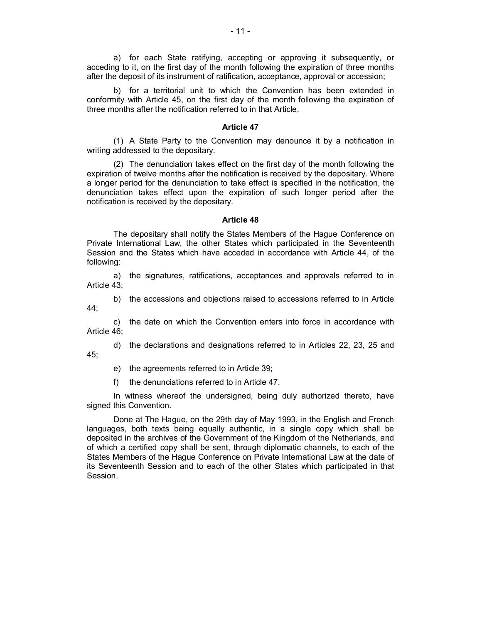a) for each State ratifying, accepting or approving it subsequently, or acceding to it, on the first day of the month following the expiration of three months after the deposit of its instrument of ratification, acceptance, approval or accession;

b) for a territorial unit to which the Convention has been extended in conformity with Article 45, on the first day of the month following the expiration of three months after the notification referred to in that Article.

#### **Article 47**

(1) A State Party to the Convention may denounce it by a notification in writing addressed to the depositary.

(2) The denunciation takes effect on the first day of the month following the expiration of twelve months after the notification is received by the depositary. Where a longer period for the denunciation to take effect is specified in the notification, the denunciation takes effect upon the expiration of such longer period after the notification is received by the depositary.

#### **Article 48**

The depositary shall notify the States Members of the Hague Conference on Private International Law, the other States which participated in the Seventeenth Session and the States which have acceded in accordance with Article 44, of the following:

a) the signatures, ratifications, acceptances and approvals referred to in Article 43;

b) the accessions and objections raised to accessions referred to in Article 44;

c) the date on which the Convention enters into force in accordance with Article 46;

d) the declarations and designations referred to in Articles 22, 23, 25 and 45;

- e) the agreements referred to in Article 39;
- f) the denunciations referred to in Article 47.

In witness whereof the undersigned, being duly authorized thereto, have signed this Convention.

Done at The Hague, on the 29th day of May 1993, in the English and French languages, both texts being equally authentic, in a single copy which shall be deposited in the archives of the Government of the Kingdom of the Netherlands, and of which a certified copy shall be sent, through diplomatic channels, to each of the States Members of the Hague Conference on Private International Law at the date of its Seventeenth Session and to each of the other States which participated in that Session.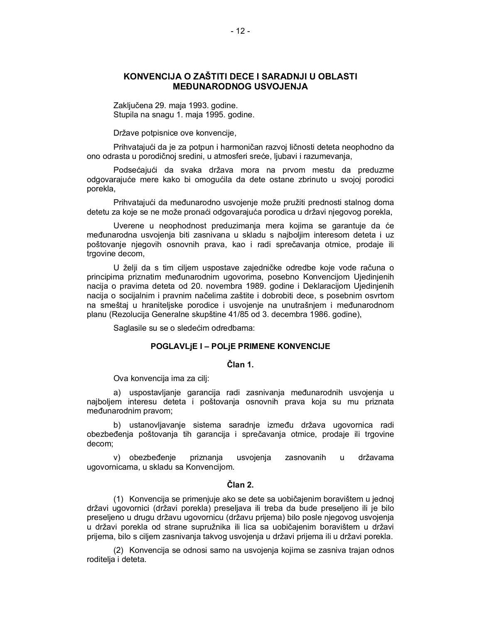### **KONVENCIJA O ZAŠTITI DECE I SARADNJI U OBLASTI MEĐUNARODNOG USVOJENJA**

Zaključena 29. maja 1993. godine. Stupila na snagu 1. maja 1995. godine.

Države potpisnice ove konvencije,

Prihvatajući da je za potpun i harmoničan razvoj ličnosti deteta neophodno da ono odrasta u porodičnoj sredini, u atmosferi sreće, ljubavi i razumevanja,

Podsećajući da svaka država mora na prvom mestu da preduzme odgovarajuće mere kako bi omogućila da dete ostane zbrinuto u svojoj porodici porekla,

Prihvatajući da međunarodno usvojenje može pružiti prednosti stalnog doma detetu za koje se ne može pronaći odgovarajuća porodica u državi njegovog porekla,

Uverene u neophodnost preduzimanja mera kojima se garantuje da će međunarodna usvojenja biti zasnivana u skladu s najboljim interesom deteta i uz poštovanje njegovih osnovnih prava, kao i radi sprečavanja otmice, prodaje ili trgovine decom,

U želji da s tim ciljem uspostave zajedničke odredbe koje vode računa o principima priznatim međunarodnim ugovorima, posebno Konvencijom Ujedinjenih nacija o pravima deteta od 20. novembra 1989. godine i Deklaracijom Ujedinjenih nacija o socijalnim i pravnim načelima zaštite i dobrobiti dece, s posebnim osvrtom na smeštaj u hraniteljske porodice i usvojenje na unutrašnjem i međunarodnom planu (Rezolucija Generalne skupštine 41/85 od 3. decembra 1986. godine),

Saglasile su se o sledećim odredbama:

### **POGLAVLjE I – POLjE PRIMENE KONVENCIJE**

#### **Član 1.**

Ova konvencija ima za cilj:

a) uspostavljanje garancija radi zasnivanja međunarodnih usvojenja u najboljem interesu deteta i poštovanja osnovnih prava koja su mu priznata međunarodnim pravom;

b) ustanovljavanje sistema saradnje između država ugovornica radi obezbeđenja poštovanja tih garancija i sprečavanja otmice, prodaje ili trgovine decom;

v) obezbeđenje priznanja usvojenja zasnovanih u državama ugovornicama, u skladu sa Konvencijom.

### **Član 2.**

(1) Konvencija se primenjuje ako se dete sa uobičajenim boravištem u jednoj državi ugovornici (državi porekla) preseljava ili treba da bude preseljeno ili je bilo preseljeno u drugu državu ugovornicu (državu prijema) bilo posle njegovog usvojenja u državi porekla od strane supružnika ili lica sa uobičajenim boravištem u državi prijema, bilo s ciljem zasnivanja takvog usvojenja u državi prijema ili u državi porekla.

(2) Konvencija se odnosi samo na usvojenja kojima se zasniva trajan odnos roditelja i deteta.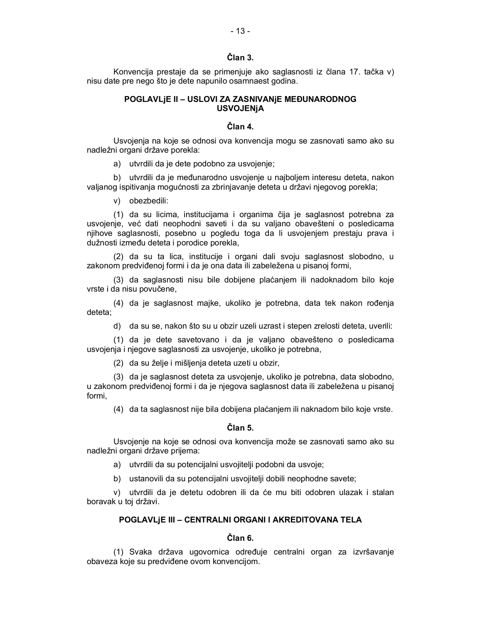### **Član 3.**

Konvencija prestaje da se primenjuje ako saglasnosti iz člana 17. tačka v) nisu date pre nego što je dete napunilo osamnaest godina.

### **POGLAVLjE II – USLOVI ZA ZASNIVANjE MEĐUNARODNOG USVOJENjA**

### **Član 4.**

Usvojenja na koje se odnosi ova konvencija mogu se zasnovati samo ako su nadležni organi države porekla:

a) utvrdili da je dete podobno za usvojenje;

b) utvrdili da je međunarodno usvojenje u najboljem interesu deteta, nakon valjanog ispitivanja mogućnosti za zbrinjavanje deteta u državi njegovog porekla;

v) obezbedili:

(1) da su licima, institucijama i organima čija je saglasnost potrebna za usvojenje, već dati neophodni saveti i da su valjano obavešteni o posledicama njihove saglasnosti, posebno u pogledu toga da li usvojenjem prestaju prava i dužnosti između deteta i porodice porekla,

(2) da su ta lica, institucije i organi dali svoju saglasnost slobodno, u zakonom predviđenoj formi i da je ona data ili zabeležena u pisanoj formi,

(3) da saglasnosti nisu bile dobijene plaćanjem ili nadoknadom bilo koje vrste i da nisu povučene,

(4) da je saglasnost majke, ukoliko je potrebna, data tek nakon rođenja deteta;

d) da su se, nakon što su u obzir uzeli uzrast i stepen zrelosti deteta, uverili:

(1) da je dete savetovano i da je valjano obavešteno o posledicama usvojenja i njegove saglasnosti za usvojenje, ukoliko je potrebna,

(2) da su želje i mišljenja deteta uzeti u obzir,

(3) da je saglasnost deteta za usvojenje, ukoliko je potrebna, data slobodno, u zakonom predviđenoj formi i da je njegova saglasnost data ili zabeležena u pisanoj formi,

(4) da ta saglasnost nije bila dobijena plaćanjem ili naknadom bilo koje vrste.

### **Član 5.**

Usvojenje na koje se odnosi ova konvencija može se zasnovati samo ako su nadležni organi države prijema:

a) utvrdili da su potencijalni usvojitelji podobni da usvoje;

b) ustanovili da su potencijalni usvojitelji dobili neophodne savete;

v) utvrdili da je detetu odobren ili da će mu biti odobren ulazak i stalan boravak u toj državi.

### **POGLAVLjE III – CENTRALNI ORGANI I AKREDITOVANA TELA**

### **Član 6.**

(1) Svaka država ugovornica određuje centralni organ za izvršavanje obaveza koje su predviđene ovom konvencijom.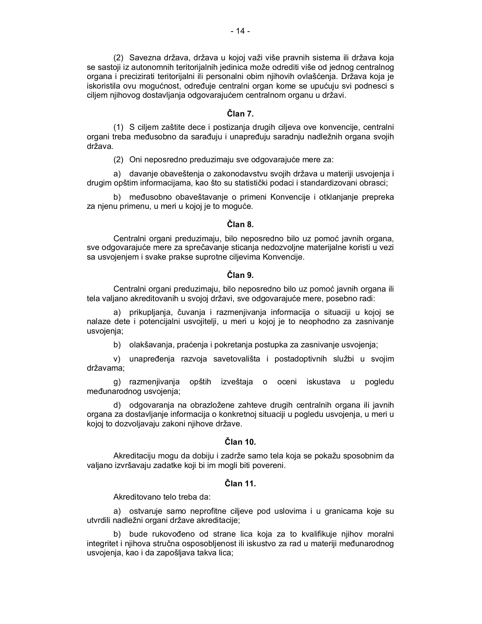(2) Savezna država, država u kojoj važi više pravnih sistema ili država koja se sastoji iz autonomnih teritorijalnih jedinica može odrediti više od jednog centralnog organa i precizirati teritorijalni ili personalni obim njihovih ovlašćenja. Država koja je iskoristila ovu mogućnost, određuje centralni organ kome se upućuju svi podnesci s ciljem njihovog dostavljanja odgovarajućem centralnom organu u državi.

### **Član 7.**

(1) S ciljem zaštite dece i postizanja drugih ciljeva ove konvencije, centralni organi treba međusobno da sarađuju i unapređuju saradnju nadležnih organa svojih država.

(2) Oni neposredno preduzimaju sve odgovarajuće mere za:

a) davanje obaveštenja o zakonodavstvu svojih država u materiji usvojenja i drugim opštim informacijama, kao što su statistički podaci i standardizovani obrasci;

b) međusobno obaveštavanje o primeni Konvencije i otklanjanje prepreka za njenu primenu, u meri u kojoj je to moguće.

### **Član 8.**

Centralni organi preduzimaju, bilo neposredno bilo uz pomoć javnih organa, sve odgovarajuće mere za sprečavanje sticanja nedozvoljne materijalne koristi u vezi sa usvojenjem i svake prakse suprotne ciljevima Konvencije.

#### **Član 9.**

Centralni organi preduzimaju, bilo neposredno bilo uz pomoć javnih organa ili tela valjano akreditovanih u svojoj državi, sve odgovarajuće mere, posebno radi:

a) prikupljanja, čuvanja i razmenjivanja informacija o situaciji u kojoj se nalaze dete i potencijalni usvojitelji, u meri u kojoj je to neophodno za zasnivanje usvojenja;

b) olakšavanja, praćenja i pokretanja postupka za zasnivanje usvojenja;

v) unapređenja razvoja savetovališta i postadoptivnih službi u svojim državama;

g) razmenjivanja opštih izveštaja o oceni iskustava u pogledu međunarodnog usvojenja;

d) odgovaranja na obrazložene zahteve drugih centralnih organa ili javnih organa za dostavljanje informacija o konkretnoj situaciji u pogledu usvojenja, u meri u kojoj to dozvoljavaju zakoni njihove države.

#### **Član 10.**

Akreditaciju mogu da dobiju i zadrže samo tela koja se pokažu sposobnim da valjano izvršavaju zadatke koji bi im mogli biti povereni.

### **Član 11.**

Akreditovano telo treba da:

a) ostvaruje samo neprofitne ciljeve pod uslovima i u granicama koje su utvrdili nadležni organi države akreditacije;

b) bude rukovođeno od strane lica koja za to kvalifikuje njihov moralni integritet i njihova stručna osposobljenost ili iskustvo za rad u materiji međunarodnog usvojenja, kao i da zapošljava takva lica;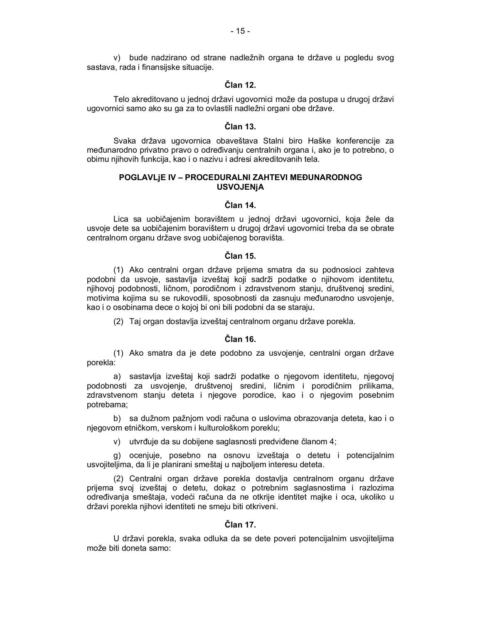v) bude nadzirano od strane nadležnih organa te države u pogledu svog sastava, rada i finansijske situacije.

#### **Član 12.**

Telo akreditovano u jednoj državi ugovornici može da postupa u drugoj državi ugovornici samo ako su ga za to ovlastili nadležni organi obe države.

#### **Član 13.**

Svaka država ugovornica obaveštava Stalni biro Haške konferencije za međunarodno privatno pravo o određivanju centralnih organa i, ako je to potrebno, o obimu njihovih funkcija, kao i o nazivu i adresi akreditovanih tela.

### **POGLAVLjE IV – PROCEDURALNI ZAHTEVI MEĐUNARODNOG USVOJENjA**

### **Član 14.**

Lica sa uobičajenim boravištem u jednoj državi ugovornici, koja žele da usvoje dete sa uobičajenim boravištem u drugoj državi ugovornici treba da se obrate centralnom organu države svog uobičajenog boravišta.

#### **Član 15.**

(1) Ako centralni organ države prijema smatra da su podnosioci zahteva podobni da usvoje, sastavlja izveštaj koji sadrži podatke o njihovom identitetu, njihovoj podobnosti, ličnom, porodičnom i zdravstvenom stanju, društvenoj sredini, motivima kojima su se rukovodili, sposobnosti da zasnuju međunarodno usvojenje, kao i o osobinama dece o kojoj bi oni bili podobni da se staraju.

(2) Taj organ dostavlja izveštaj centralnom organu države porekla.

### **Član 16.**

(1) Ako smatra da je dete podobno za usvojenje, centralni organ države porekla:

a) sastavlja izveštaj koji sadrži podatke o njegovom identitetu, njegovoj podobnosti za usvojenje, društvenoj sredini, ličnim i porodičnim prilikama, zdravstvenom stanju deteta i njegove porodice, kao i o njegovim posebnim potrebama;

b) sa dužnom pažnjom vodi računa o uslovima obrazovanja deteta, kao i o njegovom etničkom, verskom i kulturološkom poreklu;

v) utvrđuje da su dobijene saglasnosti predviđene članom 4;

g) ocenjuje, posebno na osnovu izveštaja o detetu i potencijalnim usvojiteljima, da li je planirani smeštaj u najboljem interesu deteta.

(2) Centralni organ države porekla dostavlja centralnom organu države prijema svoj izveštaj o detetu, dokaz o potrebnim saglasnostima i razlozima određivanja smeštaja, vodeći računa da ne otkrije identitet majke i oca, ukoliko u državi porekla njihovi identiteti ne smeju biti otkriveni.

### **Član 17.**

U državi porekla, svaka odluka da se dete poveri potencijalnim usvojiteljima može biti doneta samo: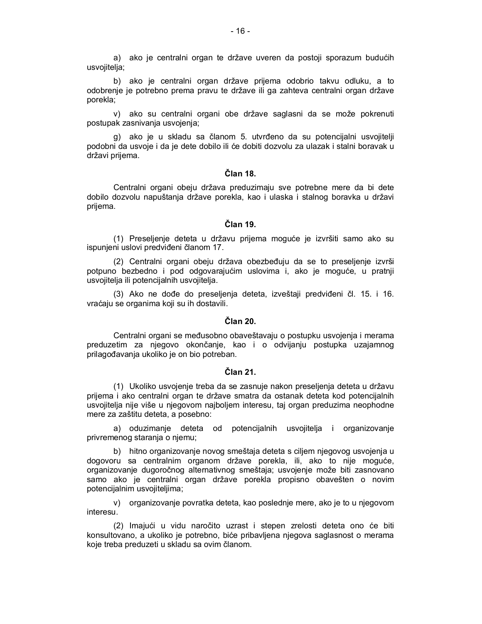a) ako je centralni organ te države uveren da postoji sporazum budućih usvojitelja;

b) ako je centralni organ države prijema odobrio takvu odluku, a to odobrenje je potrebno prema pravu te države ili ga zahteva centralni organ države porekla;

v) ako su centralni organi obe države saglasni da se može pokrenuti postupak zasnivanja usvojenja;

g) ako je u skladu sa članom 5. utvrđeno da su potencijalni usvojitelji podobni da usvoje i da je dete dobilo ili će dobiti dozvolu za ulazak i stalni boravak u državi prijema.

### **Član 18.**

Centralni organi obeju država preduzimaju sve potrebne mere da bi dete dobilo dozvolu napuštanja države porekla, kao i ulaska i stalnog boravka u državi prijema.

### **Član 19.**

(1) Preseljenje deteta u državu prijema moguće je izvršiti samo ako su ispunjeni uslovi predviđeni članom 17.

(2) Centralni organi obeju država obezbeđuju da se to preseljenje izvrši potpuno bezbedno i pod odgovarajućim uslovima i, ako je moguće, u pratnji usvojitelja ili potencijalnih usvojitelja.

(3) Ako ne dođe do preseljenja deteta, izveštaji predviđeni čl. 15. i 16. vraćaju se organima koji su ih dostavili.

### **Član 20.**

Centralni organi se međusobno obaveštavaju o postupku usvojenja i merama preduzetim za njegovo okončanje, kao i o odvijanju postupka uzajamnog prilagođavanja ukoliko je on bio potreban.

#### **Član 21.**

(1) Ukoliko usvojenje treba da se zasnuje nakon preseljenja deteta u državu prijema i ako centralni organ te države smatra da ostanak deteta kod potencijalnih usvojitelja nije više u njegovom najboljem interesu, taj organ preduzima neophodne mere za zaštitu deteta, a posebno:

a) oduzimanje deteta od potencijalnih usvojitelja i organizovanje privremenog staranja o njemu;

b) hitno organizovanje novog smeštaja deteta s ciljem njegovog usvojenja u dogovoru sa centralnim organom države porekla, ili, ako to nije moguće, organizovanje dugoročnog alternativnog smeštaja; usvojenje može biti zasnovano samo ako je centralni organ države porekla propisno obavešten o novim potencijalnim usvojiteljima;

v) organizovanje povratka deteta, kao poslednje mere, ako je to u njegovom interesu.

(2) Imajući u vidu naročito uzrast i stepen zrelosti deteta ono će biti konsultovano, a ukoliko je potrebno, biće pribavljena njegova saglasnost o merama koje treba preduzeti u skladu sa ovim članom.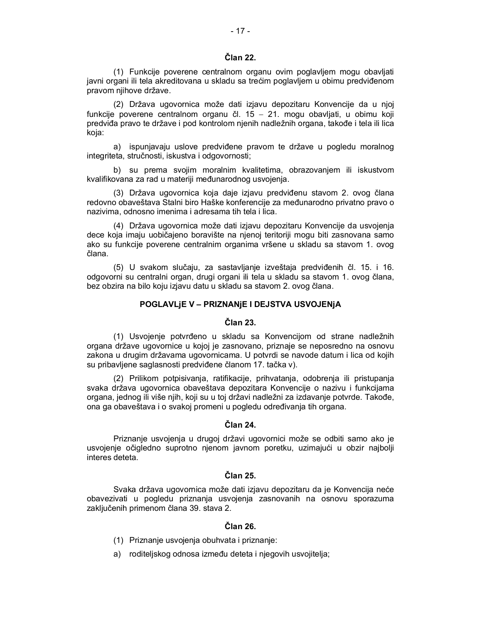### **Član 22.**

(1) Funkcije poverene centralnom organu ovim poglavljem mogu obavljati javni organi ili tela akreditovana u skladu sa trećim poglavljem u obimu predviđenom pravom njihove države.

(2) Država ugovornica može dati izjavu depozitaru Konvencije da u njoj funkcije poverene centralnom organu čl. 15 21. mogu obavljati, u obimu koji predviđa pravo te države i pod kontrolom njenih nadležnih organa, takođe i tela ili lica koja:

a) ispunjavaju uslove predviđene pravom te države u pogledu moralnog integriteta, stručnosti, iskustva i odgovornosti;

b) su prema svojim moralnim kvalitetima, obrazovanjem ili iskustvom kvalifikovana za rad u materiji međunarodnog usvojenja.

(3) Država ugovornica koja daje izjavu predviđenu stavom 2. ovog člana redovno obaveštava Stalni biro Haške konferencije za međunarodno privatno pravo o nazivima, odnosno imenima i adresama tih tela i lica.

(4) Država ugovornica može dati izjavu depozitaru Konvencije da usvojenja dece koja imaju uobičajeno boravište na njenoj teritoriji mogu biti zasnovana samo ako su funkcije poverene centralnim organima vršene u skladu sa stavom 1. ovog člana.

(5) U svakom slučaju, za sastavljanje izveštaja predviđenih čl. 15. i 16. odgovorni su centralni organ, drugi organi ili tela u skladu sa stavom 1. ovog člana, bez obzira na bilo koju izjavu datu u skladu sa stavom 2. ovog člana.

### **POGLAVLjE V – PRIZNANjE I DEJSTVA USVOJENjA**

### **Član 23.**

(1) Usvojenje potvrđeno u skladu sa Konvencijom od strane nadležnih organa države ugovornice u kojoj je zasnovano, priznaje se neposredno na osnovu zakona u drugim državama ugovornicama. U potvrdi se navode datum i lica od kojih su pribavljene saglasnosti predviđene članom 17. tačka v).

(2) Prilikom potpisivanja, ratifikacije, prihvatanja, odobrenja ili pristupanja svaka država ugovornica obaveštava depozitara Konvencije o nazivu i funkcijama organa, jednog ili više njih, koji su u toj državi nadležni za izdavanje potvrde. Takođe, ona ga obaveštava i o svakoj promeni u pogledu određivanja tih organa.

#### **Član 24.**

Priznanje usvojenja u drugoj državi ugovornici može se odbiti samo ako je usvojenje očigledno suprotno njenom javnom poretku, uzimajući u obzir najbolji interes deteta.

### **Član 25.**

Svaka država ugovornica može dati izjavu depozitaru da je Konvencija neće obavezivati u pogledu priznanja usvojenja zasnovanih na osnovu sporazuma zaključenih primenom člana 39. stava 2.

### **Član 26.**

- (1) Priznanje usvojenja obuhvata i priznanje:
- a) roditeljskog odnosa između deteta i njegovih usvojitelja;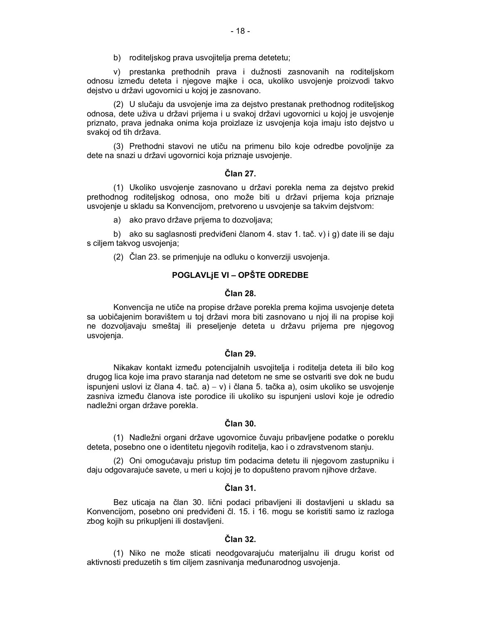b) roditeljskog prava usvojitelja prema detetetu;

v) prestanka prethodnih prava i dužnosti zasnovanih na roditeljskom odnosu između deteta i njegove majke i oca, ukoliko usvojenje proizvodi takvo dejstvo u državi ugovornici u kojoj je zasnovano.

(2) U slučaju da usvojenje ima za dejstvo prestanak prethodnog roditeljskog odnosa, dete uživa u državi prijema i u svakoj državi ugovornici u kojoj je usvojenje priznato, prava jednaka onima koja proizlaze iz usvojenja koja imaju isto dejstvo u svakoj od tih država.

(3) Prethodni stavovi ne utiču na primenu bilo koje odredbe povoljnije za dete na snazi u državi ugovornici koja priznaje usvojenje.

### **Član 27.**

(1) Ukoliko usvojenje zasnovano u državi porekla nema za dejstvo prekid prethodnog roditeljskog odnosa, ono može biti u državi prijema koja priznaje usvojenje u skladu sa Konvencijom, pretvoreno u usvojenje sa takvim dejstvom:

a) ako pravo države prijema to dozvoljava;

b) ako su saglasnosti predviđeni članom 4. stav 1. tač. v) i g) date ili se daju s ciljem takvog usvojenja;

(2) Član 23. se primenjuje na odluku o konverziji usvojenja.

### **POGLAVLjE VI – OPŠTE ODREDBE**

### **Član 28.**

Konvencija ne utiče na propise države porekla prema kojima usvojenje deteta sa uobičajenim boravištem u toj državi mora biti zasnovano u njoj ili na propise koji ne dozvoljavaju smeštaj ili preseljenje deteta u državu prijema pre njegovog usvojenja.

### **Član 29.**

Nikakav kontakt između potencijalnih usvojitelja i roditelja deteta ili bilo kog drugog lica koje ima pravo staranja nad detetom ne sme se ostvariti sve dok ne budu ispunjeni uslovi iz člana 4. tač. a) – v) i člana 5. tačka a), osim ukoliko se usvojenje zasniva između članova iste porodice ili ukoliko su ispunjeni uslovi koje je odredio nadležni organ države porekla.

#### **Član 30.**

(1) Nadležni organi države ugovornice čuvaju pribavljene podatke o poreklu deteta, posebno one o identitetu njegovih roditelja, kao i o zdravstvenom stanju.

(2) Oni omogućavaju pristup tim podacima detetu ili njegovom zastupniku i daju odgovarajuće savete, u meri u kojoj je to dopušteno pravom njihove države.

### **Član 31.**

Bez uticaja na član 30. lični podaci pribavljeni ili dostavljeni u skladu sa Konvencijom, posebno oni predviđeni čl. 15. i 16. mogu se koristiti samo iz razloga zbog kojih su prikupljeni ili dostavljeni.

### **Član 32.**

(1) Niko ne može sticati neodgovarajuću materijalnu ili drugu korist od aktivnosti preduzetih s tim ciljem zasnivanja međunarodnog usvojenja.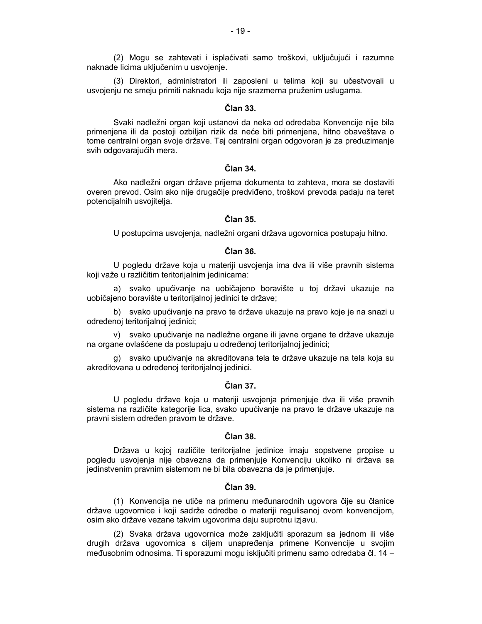(2) Mogu se zahtevati i isplaćivati samo troškovi, uključujući i razumne naknade licima uključenim u usvojenje.

(3) Direktori, administratori ili zaposleni u telima koji su učestvovali u usvojenju ne smeju primiti naknadu koja nije srazmerna pruženim uslugama.

### **Član 33.**

Svaki nadležni organ koji ustanovi da neka od odredaba Konvencije nije bila primenjena ili da postoji ozbiljan rizik da neće biti primenjena, hitno obaveštava o tome centralni organ svoje države. Taj centralni organ odgovoran je za preduzimanje svih odgovarajućih mera.

### **Član 34.**

Ako nadležni organ države prijema dokumenta to zahteva, mora se dostaviti overen prevod. Osim ako nije drugačije predviđeno, troškovi prevoda padaju na teret potencijalnih usvojitelja.

### **Član 35.**

U postupcima usvojenja, nadležni organi država ugovornica postupaju hitno.

### **Član 36.**

U pogledu države koja u materiji usvojenja ima dva ili više pravnih sistema koji važe u različitim teritorijalnim jedinicama:

a) svako upućivanje na uobičajeno boravište u toj državi ukazuje na uobičajeno boravište u teritorijalnoj jedinici te države;

b) svako upućivanje na pravo te države ukazuje na pravo koje je na snazi u određenoj teritorijalnoj jedinici;

v) svako upućivanje na nadležne organe ili javne organe te države ukazuje na organe ovlašćene da postupaju u određenoj teritorijalnoj jedinici;

g) svako upućivanje na akreditovana tela te države ukazuje na tela koja su akreditovana u određenoj teritorijalnoj jedinici.

### **Član 37.**

U pogledu države koja u materiji usvojenja primenjuje dva ili više pravnih sistema na različite kategorije lica, svako upućivanje na pravo te države ukazuje na pravni sistem određen pravom te države.

### **Član 38.**

Država u kojoj različite teritorijalne jedinice imaju sopstvene propise u pogledu usvojenja nije obavezna da primenjuje Konvenciju ukoliko ni država sa jedinstvenim pravnim sistemom ne bi bila obavezna da je primenjuje.

#### **Član 39.**

(1) Konvencija ne utiče na primenu međunarodnih ugovora čije su članice države ugovornice i koji sadrže odredbe o materiji regulisanoj ovom konvencijom, osim ako države vezane takvim ugovorima daju suprotnu izjavu.

(2) Svaka država ugovornica može zaključiti sporazum sa jednom ili više drugih država ugovornica s ciljem unapređenja primene Konvencije u svojim međusobnim odnosima. Ti sporazumi mogu isključiti primenu samo odredaba čl. 14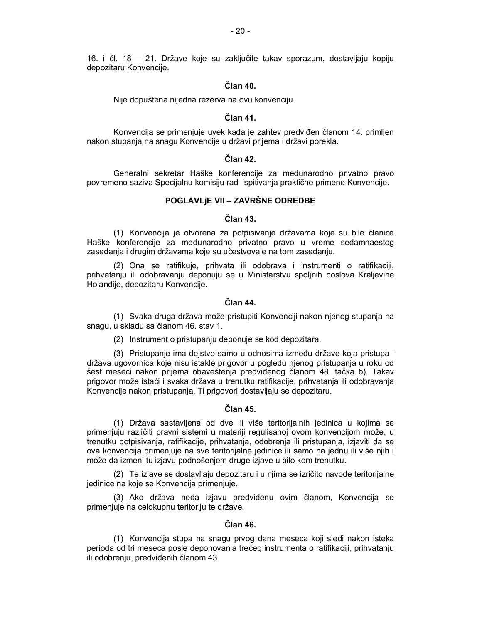16. i čl. 18 21. Države koje su zaključile takav sporazum, dostavljaju kopiju depozitaru Konvencije.

#### **Član 40.**

Nije dopuštena nijedna rezerva na ovu konvenciju.

#### **Član 41.**

Konvencija se primenjuje uvek kada je zahtev predviđen članom 14. primljen nakon stupanja na snagu Konvencije u državi prijema i državi porekla.

### **Član 42.**

Generalni sekretar Haške konferencije za međunarodno privatno pravo povremeno saziva Specijalnu komisiju radi ispitivanja praktične primene Konvencije.

### **POGLAVLjE VII – ZAVRŠNE ODREDBE**

### **Član 43.**

(1) Konvencija je otvorena za potpisivanje državama koje su bile članice Haške konferencije za međunarodno privatno pravo u vreme sedamnaestog zasedanja i drugim državama koje su učestvovale na tom zasedanju.

(2) Ona se ratifikuje, prihvata ili odobrava i instrumenti o ratifikaciji, prihvatanju ili odobravanju deponuju se u Ministarstvu spoljnih poslova Kraljevine Holandije, depozitaru Konvencije.

#### **Član 44.**

(1) Svaka druga država može pristupiti Konvenciji nakon njenog stupanja na snagu, u skladu sa članom 46. stav 1.

(2) Instrument o pristupanju deponuje se kod depozitara.

(3) Pristupanje ima dejstvo samo u odnosima između države koja pristupa i država ugovornica koje nisu istakle prigovor u pogledu njenog pristupanja u roku od šest meseci nakon prijema obaveštenja predviđenog članom 48. tačka b). Takav prigovor može istaći i svaka država u trenutku ratifikacije, prihvatanja ili odobravanja Konvencije nakon pristupanja. Ti prigovori dostavljaju se depozitaru.

### **Član 45.**

(1) Država sastavljena od dve ili više teritorijalnih jedinica u kojima se primenjuju različiti pravni sistemi u materiji regulisanoj ovom konvencijom može, u trenutku potpisivanja, ratifikacije, prihvatanja, odobrenja ili pristupanja, izjaviti da se ova konvencija primenjuje na sve teritorijalne jedinice ili samo na jednu ili više njih i može da izmeni tu izjavu podnošenjem druge izjave u bilo kom trenutku.

(2) Te izjave se dostavljaju depozitaru i u njima se izričito navode teritorijalne jedinice na koje se Konvencija primenjuje.

(3) Ako država neda izjavu predviđenu ovim članom, Konvencija se primenjuje na celokupnu teritoriju te države.

### **Član 46.**

(1) Konvencija stupa na snagu prvog dana meseca koji sledi nakon isteka perioda od tri meseca posle deponovanja trećeg instrumenta o ratifikaciji, prihvatanju ili odobrenju, predviđenih članom 43.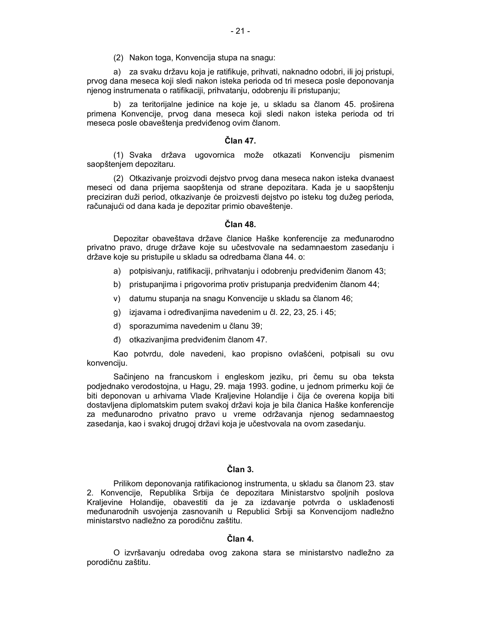(2) Nakon toga, Konvencija stupa na snagu:

a) za svaku državu koja je ratifikuje, prihvati, naknadno odobri, ili joj pristupi, prvog dana meseca koji sledi nakon isteka perioda od tri meseca posle deponovanja njenog instrumenata o ratifikaciji, prihvatanju, odobrenju ili pristupanju;

b) za teritorijalne jedinice na koje je, u skladu sa članom 45. proširena primena Konvencije, prvog dana meseca koji sledi nakon isteka perioda od tri meseca posle obaveštenja predviđenog ovim članom.

### **Član 47.**

(1) Svaka država ugovornica može otkazati Konvenciju pismenim saopštenjem depozitaru.

(2) Otkazivanje proizvodi dejstvo prvog dana meseca nakon isteka dvanaest meseci od dana prijema saopštenja od strane depozitara. Kada je u saopštenju preciziran duži period, otkazivanje će proizvesti dejstvo po isteku tog dužeg perioda, računajući od dana kada je depozitar primio obaveštenje.

### **Član 48.**

Depozitar obaveštava države članice Haške konferencije za međunarodno privatno pravo, druge države koje su učestvovale na sedamnaestom zasedanju i države koje su pristupile u skladu sa odredbama člana 44. o:

- a) potpisivanju, ratifikaciji, prihvatanju i odobrenju predviđenim članom 43;
- b) pristupanjima i prigovorima protiv pristupanja predviđenim članom 44;
- v) datumu stupanja na snagu Konvencije u skladu sa članom 46;
- g) izjavama i određivanjima navedenim u čl. 22, 23, 25. i 45;
- d) sporazumima navedenim u članu 39;
- đ) otkazivanjima predviđenim članom 47.

Kao potvrdu, dole navedeni, kao propisno ovlašćeni, potpisali su ovu konvenciju.

Sačinjeno na francuskom i engleskom jeziku, pri čemu su oba teksta podjednako verodostojna, u Hagu, 29. maja 1993. godine, u jednom primerku koji će biti deponovan u arhivama Vlade Kraljevine Holandije i čija će overena kopija biti dostavljena diplomatskim putem svakoj državi koja je bila članica Haške konferencije za međunarodno privatno pravo u vreme održavanja njenog sedamnaestog zasedanja, kao i svakoj drugoj državi koja je učestvovala na ovom zasedanju.

### **Član 3.**

Prilikom deponovanja ratifikacionog instrumenta, u skladu sa članom 23. stav 2. Konvencije, Republika Srbija će depozitara Ministarstvo spoljnih poslova Kraljevine Holandije, obavestiti da je za izdavanje potvrda o usklađenosti međunarodnih usvojenja zasnovanih u Republici Srbiji sa Konvencijom nadležno ministarstvo nadležno za porodičnu zaštitu.

### **Član 4.**

O izvršavanju odredaba ovog zakona stara se ministarstvo nadležno za porodičnu zaštitu.